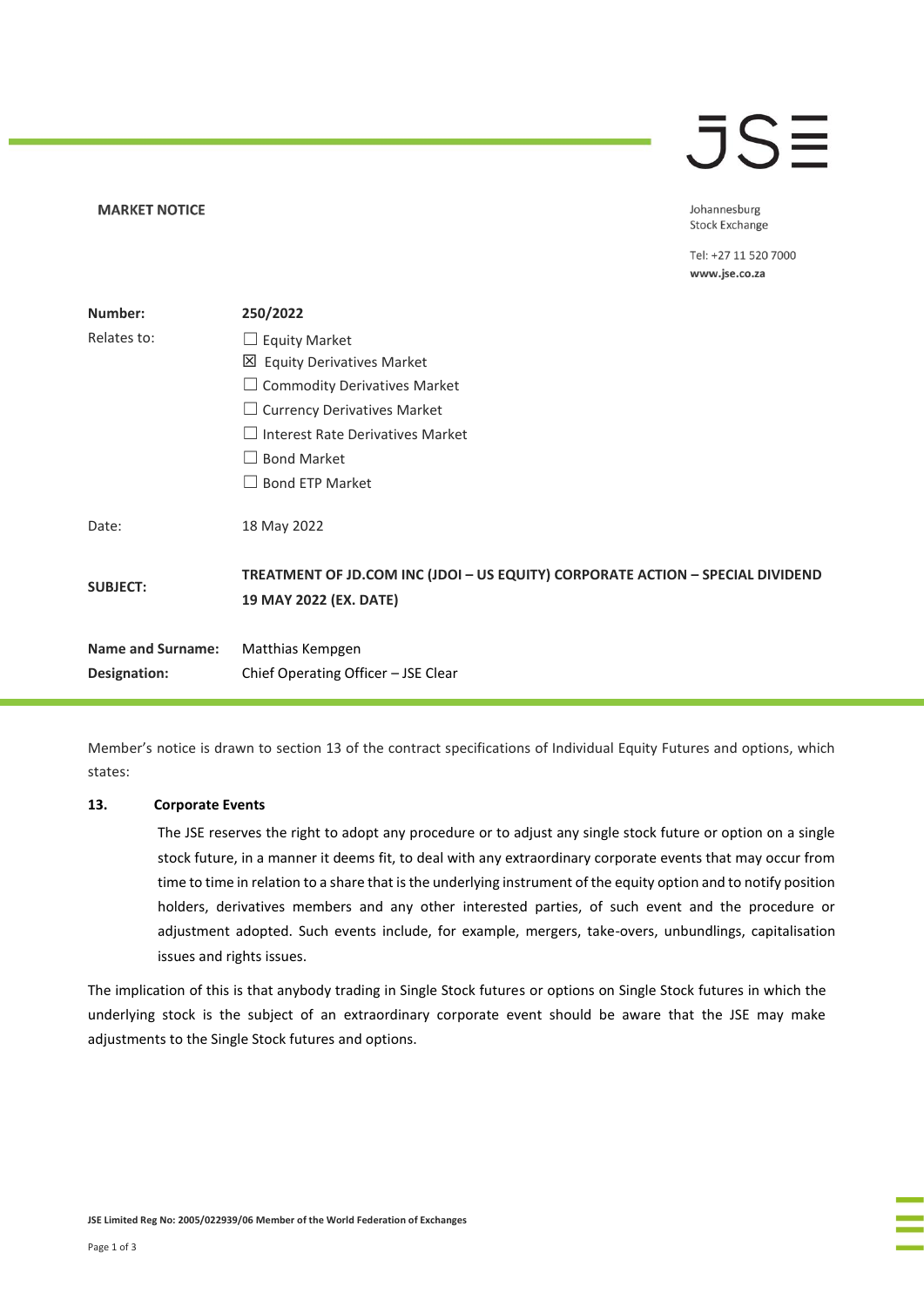# $\overline{\mathsf{J}}\mathsf{S}\overline{\Xi}$

Johannesburg **Stock Exchange** 

Tel: +27 11 520 7000 www.jse.co.za

| Number:                  | 250/2022                                                                                                 |  |
|--------------------------|----------------------------------------------------------------------------------------------------------|--|
|                          |                                                                                                          |  |
| Relates to:              | $\Box$ Equity Market                                                                                     |  |
|                          | 凶 Equity Derivatives Market                                                                              |  |
|                          | $\Box$ Commodity Derivatives Market                                                                      |  |
|                          | $\Box$ Currency Derivatives Market                                                                       |  |
|                          | <b>Interest Rate Derivatives Market</b><br>$\Box$                                                        |  |
|                          | <b>Bond Market</b><br>$\Box$                                                                             |  |
|                          | <b>Bond ETP Market</b>                                                                                   |  |
| Date:                    | 18 May 2022                                                                                              |  |
| <b>SUBJECT:</b>          | TREATMENT OF JD.COM INC (JDOI - US EQUITY) CORPORATE ACTION - SPECIAL DIVIDEND<br>19 MAY 2022 (EX. DATE) |  |
| <b>Name and Surname:</b> | Matthias Kempgen                                                                                         |  |
| Designation:             | Chief Operating Officer - JSE Clear                                                                      |  |

Member's notice is drawn to section 13 of the contract specifications of Individual Equity Futures and options, which states:

### **13. Corporate Events**

**MARKET NOTICE** 

The JSE reserves the right to adopt any procedure or to adjust any single stock future or option on a single stock future, in a manner it deems fit, to deal with any extraordinary corporate events that may occur from time to time in relation to a share that is the underlying instrument of the equity option and to notify position holders, derivatives members and any other interested parties, of such event and the procedure or adjustment adopted. Such events include, for example, mergers, take-overs, unbundlings, capitalisation issues and rights issues.

The implication of this is that anybody trading in Single Stock futures or options on Single Stock futures in which the underlying stock is the subject of an extraordinary corporate event should be aware that the JSE may make adjustments to the Single Stock futures and options.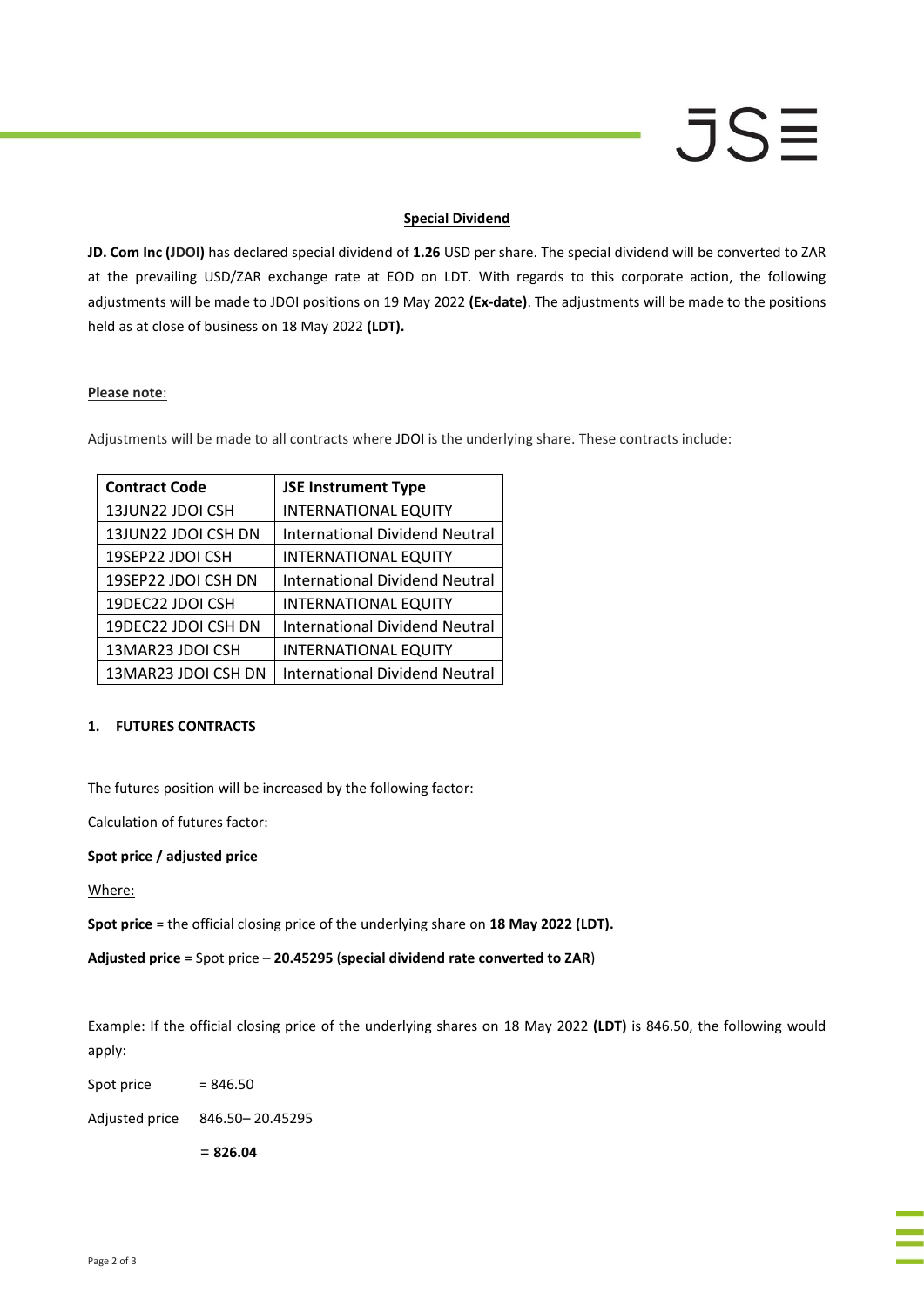# JSE

## **Special Dividend**

**JD. Com Inc (JDOI)** has declared special dividend of **1.26** USD per share. The special dividend will be converted to ZAR at the prevailing USD/ZAR exchange rate at EOD on LDT. With regards to this corporate action, the following adjustments will be made to JDOI positions on 19 May 2022 **(Ex-date)**. The adjustments will be made to the positions held as at close of business on 18 May 2022 **(LDT).**

### **Please note**:

Adjustments will be made to all contracts where JDOI is the underlying share. These contracts include:

| <b>Contract Code</b> | <b>JSE Instrument Type</b>            |
|----------------------|---------------------------------------|
| 13JUN22 JDOI CSH     | <b>INTERNATIONAL EQUITY</b>           |
| 13JUN22 JDOI CSH DN  | <b>International Dividend Neutral</b> |
| 19SEP22 JDOI CSH     | <b>INTERNATIONAL EQUITY</b>           |
| 19SEP22 JDOI CSH DN  | International Dividend Neutral        |
| 19DEC22 JDOI CSH     | <b>INTERNATIONAL EQUITY</b>           |
| 19DEC22 JDOI CSH DN  | <b>International Dividend Neutral</b> |
| 13MAR23 JDOI CSH     | <b>INTERNATIONAL EQUITY</b>           |
| 13MAR23 JDOI CSH DN  | <b>International Dividend Neutral</b> |

# **1. FUTURES CONTRACTS**

The futures position will be increased by the following factor:

Calculation of futures factor:

### **Spot price / adjusted price**

Where:

**Spot price** = the official closing price of the underlying share on **18 May 2022 (LDT).**

**Adjusted price** = Spot price – **20.45295** (**special dividend rate converted to ZAR**)

Example: If the official closing price of the underlying shares on 18 May 2022 **(LDT)** is 846.50, the following would apply:

Spot price  $= 846.50$ 

Adjusted price 846.50– 20.45295

= **826.04**